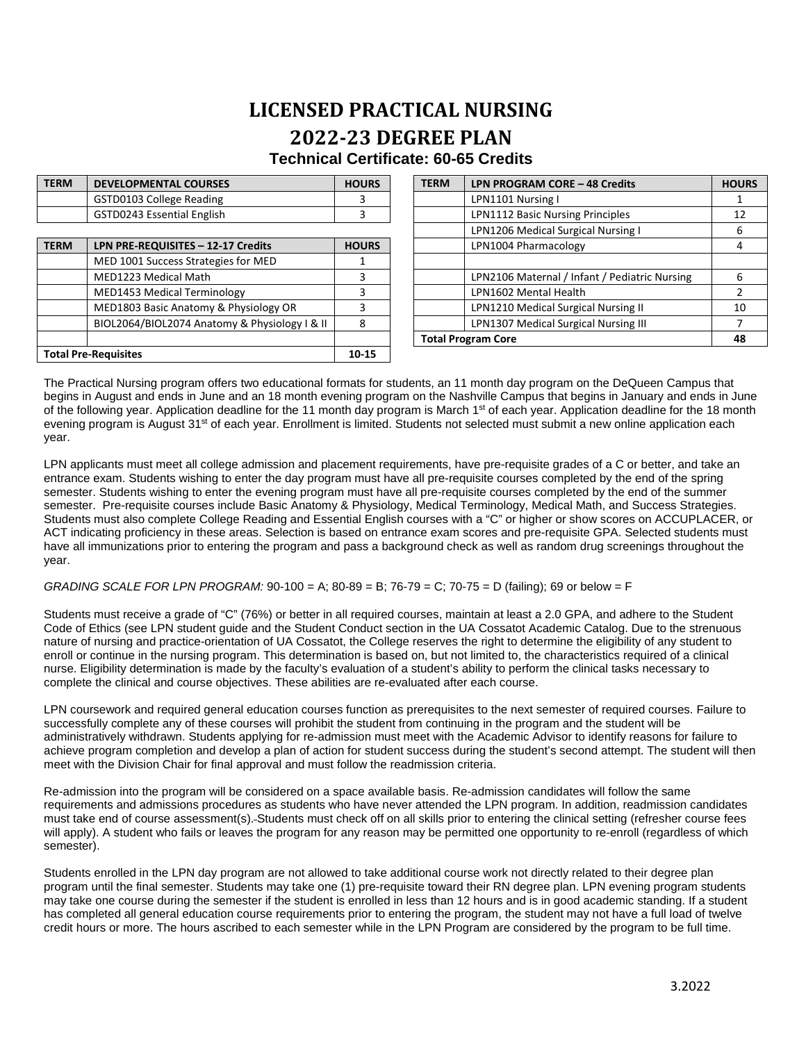## **LICENSED PRACTICAL NURSING 2022-23 DEGREE PLAN Technical Certificate: 60-65 Credits**

| <b>TERM</b>                 | <b>DEVELOPMENTAL COURSES</b>                  | <b>HOURS</b> | <b>TERM</b>               | LPN PROGRAM CORE - 48 Credits                 | <b>HOURS</b> |
|-----------------------------|-----------------------------------------------|--------------|---------------------------|-----------------------------------------------|--------------|
|                             | GSTD0103 College Reading                      | 3            |                           | LPN1101 Nursing I                             |              |
|                             | GSTD0243 Essential English                    |              |                           | LPN1112 Basic Nursing Principles              | 12           |
|                             |                                               |              |                           | LPN1206 Medical Surgical Nursing I            | 6            |
| <b>TERM</b>                 | LPN PRE-REQUISITES - 12-17 Credits            | <b>HOURS</b> |                           | LPN1004 Pharmacology                          | 4            |
|                             | MED 1001 Success Strategies for MED           |              |                           |                                               |              |
|                             | MED1223 Medical Math                          | 3            |                           | LPN2106 Maternal / Infant / Pediatric Nursing | 6            |
|                             | MED1453 Medical Terminology                   |              |                           | LPN1602 Mental Health                         |              |
|                             | MED1803 Basic Anatomy & Physiology OR         | 3            |                           | LPN1210 Medical Surgical Nursing II           | 10           |
|                             | BIOL2064/BIOL2074 Anatomy & Physiology I & II | 8            |                           | LPN1307 Medical Surgical Nursing III          |              |
|                             |                                               |              | <b>Total Program Core</b> |                                               | 48           |
| <b>Total Pre-Requisites</b> |                                               | 10-15        |                           |                                               |              |

The Practical Nursing program offers two educational formats for students, an 11 month day program on the DeQueen Campus that begins in August and ends in June and an 18 month evening program on the Nashville Campus that begins in January and ends in June of the following year. Application deadline for the 11 month day program is March 1<sup>st</sup> of each year. Application deadline for the 18 month evening program is August 31<sup>st</sup> of each year. Enrollment is limited. Students not selected must submit a new online application each year.

LPN applicants must meet all college admission and placement requirements, have pre-requisite grades of a C or better, and take an entrance exam. Students wishing to enter the day program must have all pre-requisite courses completed by the end of the spring semester. Students wishing to enter the evening program must have all pre-requisite courses completed by the end of the summer semester. Pre-requisite courses include Basic Anatomy & Physiology, Medical Terminology, Medical Math, and Success Strategies. Students must also complete College Reading and Essential English courses with a "C" or higher or show scores on ACCUPLACER, or ACT indicating proficiency in these areas. Selection is based on entrance exam scores and pre-requisite GPA. Selected students must have all immunizations prior to entering the program and pass a background check as well as random drug screenings throughout the year.

## *GRADING SCALE FOR LPN PROGRAM:* 90-100 = A; 80-89 = B; 76-79 = C; 70-75 = D (failing); 69 or below = F

Students must receive a grade of "C" (76%) or better in all required courses, maintain at least a 2.0 GPA, and adhere to the Student Code of Ethics (see LPN student guide and the Student Conduct section in the UA Cossatot Academic Catalog. Due to the strenuous nature of nursing and practice-orientation of UA Cossatot, the College reserves the right to determine the eligibility of any student to enroll or continue in the nursing program. This determination is based on, but not limited to, the characteristics required of a clinical nurse. Eligibility determination is made by the faculty's evaluation of a student's ability to perform the clinical tasks necessary to complete the clinical and course objectives. These abilities are re-evaluated after each course.

LPN coursework and required general education courses function as prerequisites to the next semester of required courses. Failure to successfully complete any of these courses will prohibit the student from continuing in the program and the student will be administratively withdrawn. Students applying for re-admission must meet with the Academic Advisor to identify reasons for failure to achieve program completion and develop a plan of action for student success during the student's second attempt. The student will then meet with the Division Chair for final approval and must follow the readmission criteria.

Re-admission into the program will be considered on a space available basis. Re-admission candidates will follow the same requirements and admissions procedures as students who have never attended the LPN program. In addition, readmission candidates must take end of course assessment(s). Students must check off on all skills prior to entering the clinical setting (refresher course fees will apply). A student who fails or leaves the program for any reason may be permitted one opportunity to re-enroll (regardless of which semester).

Students enrolled in the LPN day program are not allowed to take additional course work not directly related to their degree plan program until the final semester. Students may take one (1) pre-requisite toward their RN degree plan. LPN evening program students may take one course during the semester if the student is enrolled in less than 12 hours and is in good academic standing. If a student has completed all general education course requirements prior to entering the program, the student may not have a full load of twelve credit hours or more. The hours ascribed to each semester while in the LPN Program are considered by the program to be full time.